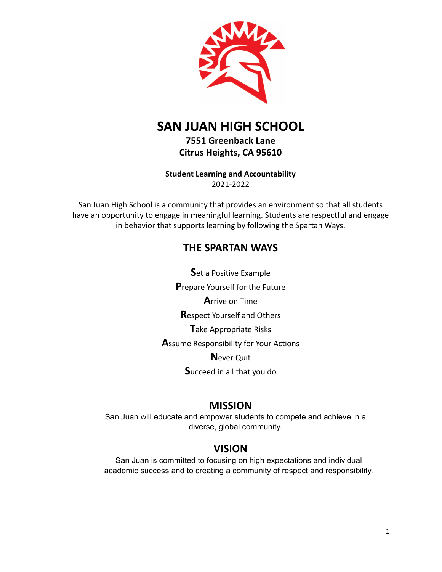

# **SAN JUAN HIGH SCHOOL**

**7551 Greenback Lane Citrus Heights, CA 95610**

**Student Learning and Accountability** 2021-2022

San Juan High School is a community that provides an environment so that all students have an opportunity to engage in meaningful learning. Students are respectful and engage in behavior that supports learning by following the Spartan Ways.

# **THE SPARTAN WAYS**

**S**et a Positive Example **P**repare Yourself for the Future **A**rrive on Time **R**espect Yourself and Others **T**ake Appropriate Risks **A**ssume Responsibility for Your Actions **N**ever Quit **S**ucceed in all that you do

# **MISSION**

San Juan will educate and empower students to compete and achieve in a diverse, global community.

# **VISION**

San Juan is committed to focusing on high expectations and individual academic success and to creating a community of respect and responsibility.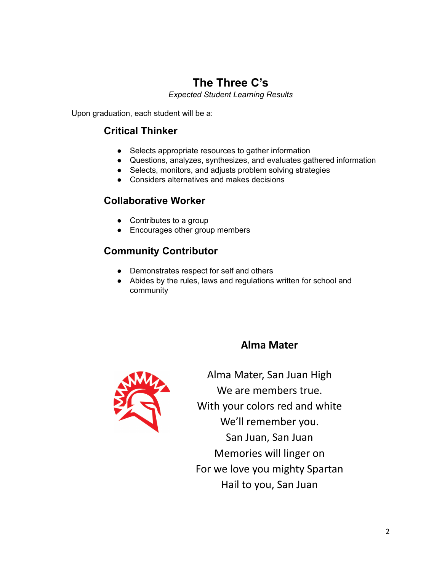# **The Three C's**

*Expected Student Learning Results*

Upon graduation, each student will be a:

# **Critical Thinker**

- Selects appropriate resources to gather information
- Questions, analyzes, synthesizes, and evaluates gathered information
- Selects, monitors, and adjusts problem solving strategies
- Considers alternatives and makes decisions

# **Collaborative Worker**

- Contributes to a group
- Encourages other group members

# **Community Contributor**

- Demonstrates respect for self and others
- Abides by the rules, laws and regulations written for school and community

# **Alma Mater**



Alma Mater, San Juan High We are members true. With your colors red and white We'll remember you. San Juan, San Juan Memories will linger on For we love you mighty Spartan Hail to you, San Juan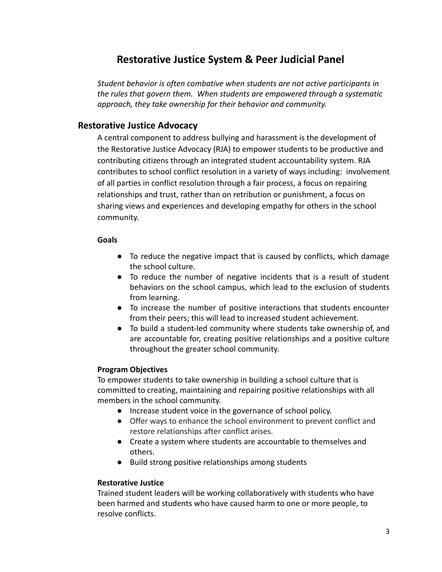# **Restorative Justice System & Peer Judicial Panel**

*Student behavior is often combative when students are not active participants in the rules that govern them. When students are empowered through a systematic approach, they take ownership for their behavior and community.*

# **Restorative Justice Advocacy**

A central component to address bullying and harassment is the development of the Restorative Justice Advocacy (RJA) to empower students to be productive and contributing citizens through an integrated student accountability system. RJA contributes to school conflict resolution in a variety of ways including: involvement of all parties in conflict resolution through a fair process, a focus on repairing relationships and trust, rather than on retribution or punishment, a focus on sharing views and experiences and developing empathy for others in the school community.

# **Goals**

- To reduce the negative impact that is caused by conflicts, which damage the school culture.
- To reduce the number of negative incidents that is a result of student behaviors on the school campus, which lead to the exclusion of students from learning.
- To increase the number of positive interactions that students encounter from their peers; this will lead to increased student achievement.
- To build a student-led community where students take ownership of, and are accountable for, creating positive relationships and a positive culture throughout the greater school community.

# **Program Objectives**

To empower students to take ownership in building a school culture that is committed to creating, maintaining and repairing positive relationships with all members in the school community.

- Increase student voice in the governance of school policy.
- Offer ways to enhance the school environment to prevent conflict and restore relationships after conflict arises.
- Create a system where students are accountable to themselves and others.
- Build strong positive relationships among students

# **Restorative Justice**

Trained student leaders will be working collaboratively with students who have been harmed and students who have caused harm to one or more people, to resolve conflicts.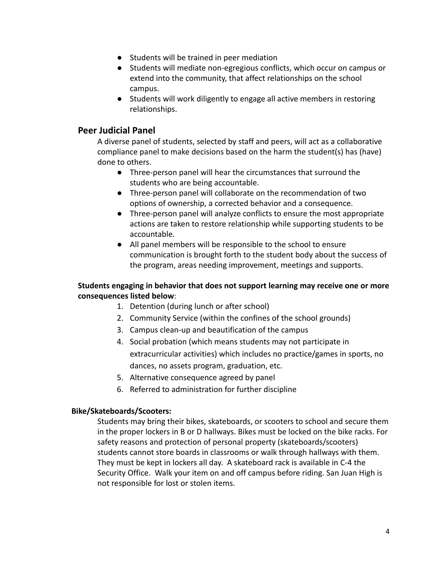- Students will be trained in peer mediation
- Students will mediate non-egregious conflicts, which occur on campus or extend into the community, that affect relationships on the school campus.
- Students will work diligently to engage all active members in restoring relationships.

# **Peer Judicial Panel**

A diverse panel of students, selected by staff and peers, will act as a collaborative compliance panel to make decisions based on the harm the student(s) has (have) done to others.

- Three-person panel will hear the circumstances that surround the students who are being accountable.
- Three-person panel will collaborate on the recommendation of two options of ownership, a corrected behavior and a consequence.
- Three-person panel will analyze conflicts to ensure the most appropriate actions are taken to restore relationship while supporting students to be accountable.
- All panel members will be responsible to the school to ensure communication is brought forth to the student body about the success of the program, areas needing improvement, meetings and supports.

# **Students engaging in behavior that does not support learning may receive one or more consequences listed below**:

- 1. Detention (during lunch or after school)
- 2. Community Service (within the confines of the school grounds)
- 3. Campus clean-up and beautification of the campus
- 4. Social probation (which means students may not participate in extracurricular activities) which includes no practice/games in sports, no dances, no assets program, graduation, etc.
- 5. Alternative consequence agreed by panel
- 6. Referred to administration for further discipline

# **Bike/Skateboards/Scooters:**

Students may bring their bikes, skateboards, or scooters to school and secure them in the proper lockers in B or D hallways. Bikes must be locked on the bike racks. For safety reasons and protection of personal property (skateboards/scooters) students cannot store boards in classrooms or walk through hallways with them. They must be kept in lockers all day. A skateboard rack is available in C-4 the Security Office. Walk your item on and off campus before riding. San Juan High is not responsible for lost or stolen items.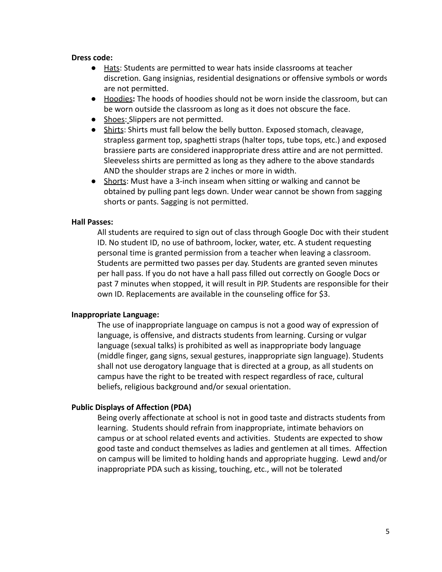#### **Dress code:**

- Hats: Students are permitted to wear hats inside classrooms at teacher discretion. Gang insignias, residential designations or offensive symbols or words are not permitted.
- Hoodies**:** The hoods of hoodies should not be worn inside the classroom, but can be worn outside the classroom as long as it does not obscure the face.
- Shoes: Slippers are not permitted.
- Shirts: Shirts must fall below the belly button. Exposed stomach, cleavage, strapless garment top, spaghetti straps (halter tops, tube tops, etc.) and exposed brassiere parts are considered inappropriate dress attire and are not permitted. Sleeveless shirts are permitted as long as they adhere to the above standards AND the shoulder straps are 2 inches or more in width.
- Shorts: Must have a 3-inch inseam when sitting or walking and cannot be obtained by pulling pant legs down. Under wear cannot be shown from sagging shorts or pants. Sagging is not permitted.

### **Hall Passes:**

All students are required to sign out of class through Google Doc with their student ID. No student ID, no use of bathroom, locker, water, etc. A student requesting personal time is granted permission from a teacher when leaving a classroom. Students are permitted two passes per day. Students are granted seven minutes per hall pass. If you do not have a hall pass filled out correctly on Google Docs or past 7 minutes when stopped, it will result in PJP. Students are responsible for their own ID. Replacements are available in the counseling office for \$3.

#### **Inappropriate Language:**

The use of inappropriate language on campus is not a good way of expression of language, is offensive, and distracts students from learning. Cursing or vulgar language (sexual talks) is prohibited as well as inappropriate body language (middle finger, gang signs, sexual gestures, inappropriate sign language). Students shall not use derogatory language that is directed at a group, as all students on campus have the right to be treated with respect regardless of race, cultural beliefs, religious background and/or sexual orientation.

## **Public Displays of Affection (PDA)**

Being overly affectionate at school is not in good taste and distracts students from learning. Students should refrain from inappropriate, intimate behaviors on campus or at school related events and activities. Students are expected to show good taste and conduct themselves as ladies and gentlemen at all times. Affection on campus will be limited to holding hands and appropriate hugging. Lewd and/or inappropriate PDA such as kissing, touching, etc., will not be tolerated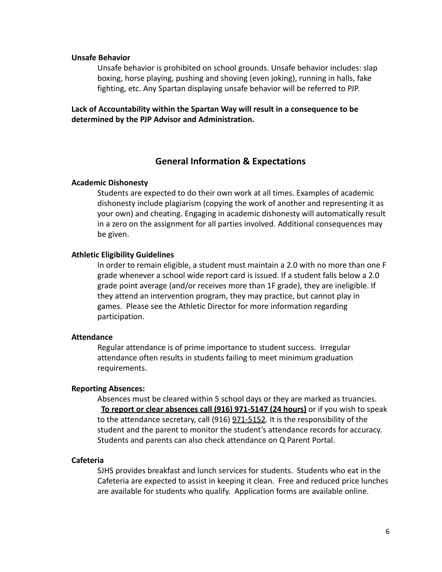#### **Unsafe Behavior**

Unsafe behavior is prohibited on school grounds. Unsafe behavior includes: slap boxing, horse playing, pushing and shoving (even joking), running in halls, fake fighting, etc. Any Spartan displaying unsafe behavior will be referred to PJP.

**Lack of Accountability within the Spartan Way will result in a consequence to be determined by the PJP Advisor and Administration.**

### **General Information & Expectations**

#### **Academic Dishonesty**

Students are expected to do their own work at all times. Examples of academic dishonesty include plagiarism (copying the work of another and representing it as your own) and cheating. Engaging in academic dishonesty will automatically result in a zero on the assignment for all parties involved. Additional consequences may be given.

### **Athletic Eligibility Guidelines**

In order to remain eligible, a student must maintain a 2.0 with no more than one F grade whenever a school wide report card is issued. If a student falls below a 2.0 grade point average (and/or receives more than 1F grade), they are ineligible. If they attend an intervention program, they may practice, but cannot play in games. Please see the Athletic Director for more information regarding participation.

#### **Attendance**

Regular attendance is of prime importance to student success. Irregular attendance often results in students failing to meet minimum graduation requirements.

#### **Reporting Absences:**

Absences must be cleared within 5 school days or they are marked as truancies. **To report or clear absences call (916) 971-5147 (24 hours)** or if you wish to speak to the attendance secretary, call (916) 971-5152. It is the responsibility of the student and the parent to monitor the student's attendance records for accuracy. Students and parents can also check attendance on Q Parent Portal.

#### **Cafeteria**

SJHS provides breakfast and lunch services for students. Students who eat in the Cafeteria are expected to assist in keeping it clean. Free and reduced price lunches are available for students who qualify. Application forms are available online.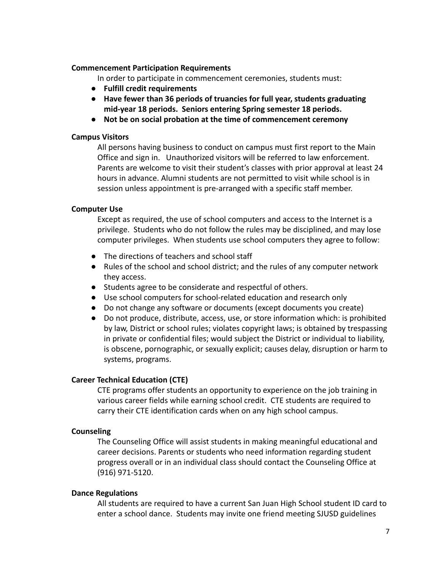## **Commencement Participation Requirements**

In order to participate in commencement ceremonies, students must:

- **● Fulfill credit requirements**
- **● Have fewer than 36 periods of truancies for full year, students graduating mid-year 18 periods. Seniors entering Spring semester 18 periods.**
- **● Not be on social probation at the time of commencement ceremony**

# **Campus Visitors**

All persons having business to conduct on campus must first report to the Main Office and sign in. Unauthorized visitors will be referred to law enforcement. Parents are welcome to visit their student's classes with prior approval at least 24 hours in advance. Alumni students are not permitted to visit while school is in session unless appointment is pre-arranged with a specific staff member.

# **Computer Use**

Except as required, the use of school computers and access to the Internet is a privilege. Students who do not follow the rules may be disciplined, and may lose computer privileges. When students use school computers they agree to follow:

- The directions of teachers and school staff
- Rules of the school and school district; and the rules of any computer network they access.
- Students agree to be considerate and respectful of others.
- Use school computers for school-related education and research only
- Do not change any software or documents (except documents you create)
- Do not produce, distribute, access, use, or store information which: is prohibited by law, District or school rules; violates copyright laws; is obtained by trespassing in private or confidential files; would subject the District or individual to liability, is obscene, pornographic, or sexually explicit; causes delay, disruption or harm to systems, programs.

# **Career Technical Education (CTE)**

CTE programs offer students an opportunity to experience on the job training in various career fields while earning school credit. CTE students are required to carry their CTE identification cards when on any high school campus.

# **Counseling**

The Counseling Office will assist students in making meaningful educational and career decisions. Parents or students who need information regarding student progress overall or in an individual class should contact the Counseling Office at (916) 971-5120.

### **Dance Regulations**

All students are required to have a current San Juan High School student ID card to enter a school dance. Students may invite one friend meeting SJUSD guidelines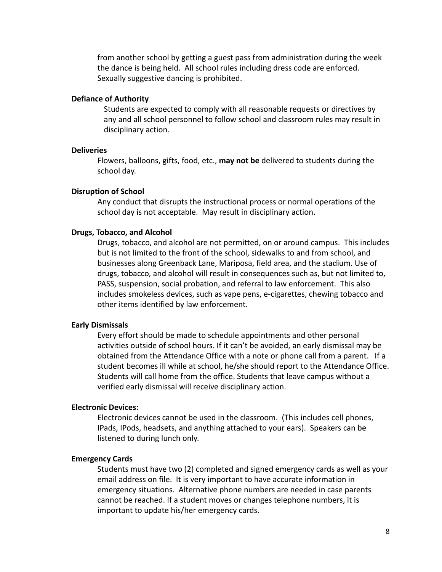from another school by getting a guest pass from administration during the week the dance is being held. All school rules including dress code are enforced. Sexually suggestive dancing is prohibited.

#### **Defiance of Authority**

Students are expected to comply with all reasonable requests or directives by any and all school personnel to follow school and classroom rules may result in disciplinary action.

#### **Deliveries**

Flowers, balloons, gifts, food, etc., **may not be** delivered to students during the school day.

#### **Disruption of School**

Any conduct that disrupts the instructional process or normal operations of the school day is not acceptable. May result in disciplinary action.

#### **Drugs, Tobacco, and Alcohol**

Drugs, tobacco, and alcohol are not permitted, on or around campus. This includes but is not limited to the front of the school, sidewalks to and from school, and businesses along Greenback Lane, Mariposa, field area, and the stadium. Use of drugs, tobacco, and alcohol will result in consequences such as, but not limited to, PASS, suspension, social probation, and referral to law enforcement. This also includes smokeless devices, such as vape pens, e-cigarettes, chewing tobacco and other items identified by law enforcement.

#### **Early Dismissals**

Every effort should be made to schedule appointments and other personal activities outside of school hours. If it can't be avoided, an early dismissal may be obtained from the Attendance Office with a note or phone call from a parent. If a student becomes ill while at school, he/she should report to the Attendance Office. Students will call home from the office. Students that leave campus without a verified early dismissal will receive disciplinary action.

#### **Electronic Devices:**

Electronic devices cannot be used in the classroom. (This includes cell phones, IPads, IPods, headsets, and anything attached to your ears). Speakers can be listened to during lunch only.

#### **Emergency Cards**

Students must have two (2) completed and signed emergency cards as well as your email address on file. It is very important to have accurate information in emergency situations. Alternative phone numbers are needed in case parents cannot be reached. If a student moves or changes telephone numbers, it is important to update his/her emergency cards.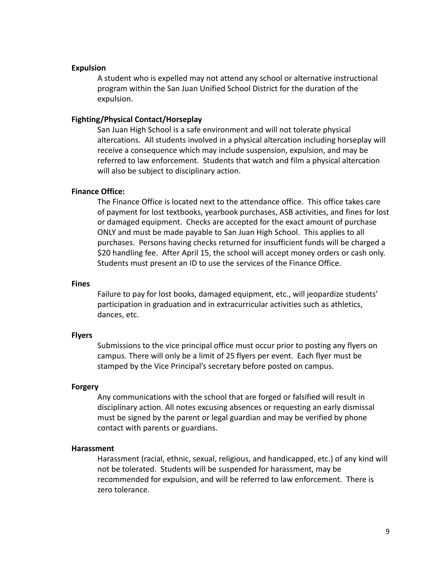### **Expulsion**

A student who is expelled may not attend any school or alternative instructional program within the San Juan Unified School District for the duration of the expulsion.

### **Fighting/Physical Contact/Horseplay**

San Juan High School is a safe environment and will not tolerate physical altercations. All students involved in a physical altercation including horseplay will receive a consequence which may include suspension, expulsion, and may be referred to law enforcement. Students that watch and film a physical altercation will also be subject to disciplinary action.

#### **Finance Office:**

The Finance Office is located next to the attendance office. This office takes care of payment for lost textbooks, yearbook purchases, ASB activities, and fines for lost or damaged equipment. Checks are accepted for the exact amount of purchase ONLY and must be made payable to San Juan High School. This applies to all purchases. Persons having checks returned for insufficient funds will be charged a \$20 handling fee. After April 15, the school will accept money orders or cash only. Students must present an ID to use the services of the Finance Office.

#### **Fines**

Failure to pay for lost books, damaged equipment, etc., will jeopardize students' participation in graduation and in extracurricular activities such as athletics, dances, etc.

#### **Flyers**

Submissions to the vice principal office must occur prior to posting any flyers on campus. There will only be a limit of 25 flyers per event. Each flyer must be stamped by the Vice Principal's secretary before posted on campus.

#### **Forgery**

Any communications with the school that are forged or falsified will result in disciplinary action. All notes excusing absences or requesting an early dismissal must be signed by the parent or legal guardian and may be verified by phone contact with parents or guardians.

#### **Harassment**

Harassment (racial, ethnic, sexual, religious, and handicapped, etc.) of any kind will not be tolerated. Students will be suspended for harassment, may be recommended for expulsion, and will be referred to law enforcement. There is zero tolerance.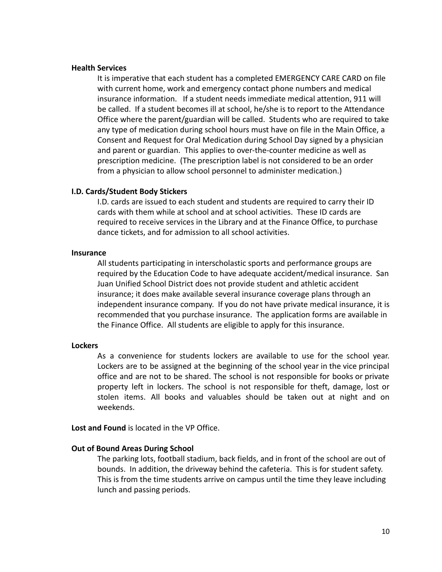#### **Health Services**

It is imperative that each student has a completed EMERGENCY CARE CARD on file with current home, work and emergency contact phone numbers and medical insurance information. If a student needs immediate medical attention, 911 will be called. If a student becomes ill at school, he/she is to report to the Attendance Office where the parent/guardian will be called. Students who are required to take any type of medication during school hours must have on file in the Main Office, a Consent and Request for Oral Medication during School Day signed by a physician and parent or guardian. This applies to over-the-counter medicine as well as prescription medicine. (The prescription label is not considered to be an order from a physician to allow school personnel to administer medication.)

### **I.D. Cards/Student Body Stickers**

I.D. cards are issued to each student and students are required to carry their ID cards with them while at school and at school activities. These ID cards are required to receive services in the Library and at the Finance Office, to purchase dance tickets, and for admission to all school activities.

### **Insurance**

All students participating in interscholastic sports and performance groups are required by the Education Code to have adequate accident/medical insurance. San Juan Unified School District does not provide student and athletic accident insurance; it does make available several insurance coverage plans through an independent insurance company. If you do not have private medical insurance, it is recommended that you purchase insurance. The application forms are available in the Finance Office. All students are eligible to apply for this insurance.

### **Lockers**

As a convenience for students lockers are available to use for the school year. Lockers are to be assigned at the beginning of the school year in the vice principal office and are not to be shared. The school is not responsible for books or private property left in lockers. The school is not responsible for theft, damage, lost or stolen items. All books and valuables should be taken out at night and on weekends.

**Lost and Found** is located in the VP Office.

### **Out of Bound Areas During School**

The parking lots, football stadium, back fields, and in front of the school are out of bounds. In addition, the driveway behind the cafeteria. This is for student safety. This is from the time students arrive on campus until the time they leave including lunch and passing periods.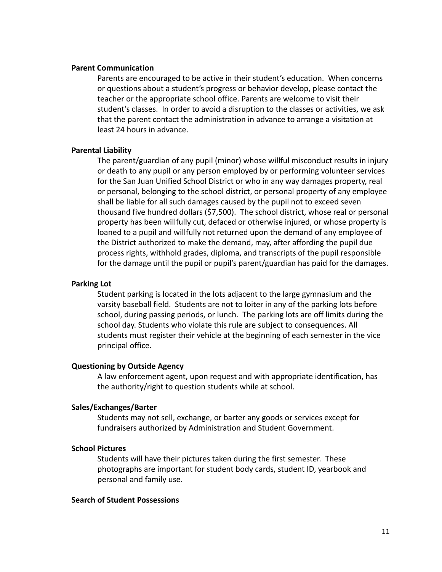#### **Parent Communication**

Parents are encouraged to be active in their student's education. When concerns or questions about a student's progress or behavior develop, please contact the teacher or the appropriate school office. Parents are welcome to visit their student's classes. In order to avoid a disruption to the classes or activities, we ask that the parent contact the administration in advance to arrange a visitation at least 24 hours in advance.

### **Parental Liability**

The parent/guardian of any pupil (minor) whose willful misconduct results in injury or death to any pupil or any person employed by or performing volunteer services for the San Juan Unified School District or who in any way damages property, real or personal, belonging to the school district, or personal property of any employee shall be liable for all such damages caused by the pupil not to exceed seven thousand five hundred dollars (\$7,500). The school district, whose real or personal property has been willfully cut, defaced or otherwise injured, or whose property is loaned to a pupil and willfully not returned upon the demand of any employee of the District authorized to make the demand, may, after affording the pupil due process rights, withhold grades, diploma, and transcripts of the pupil responsible for the damage until the pupil or pupil's parent/guardian has paid for the damages.

#### **Parking Lot**

Student parking is located in the lots adjacent to the large gymnasium and the varsity baseball field. Students are not to loiter in any of the parking lots before school, during passing periods, or lunch. The parking lots are off limits during the school day. Students who violate this rule are subject to consequences. All students must register their vehicle at the beginning of each semester in the vice principal office.

### **Questioning by Outside Agency**

A law enforcement agent, upon request and with appropriate identification, has the authority/right to question students while at school.

### **Sales/Exchanges/Barter**

Students may not sell, exchange, or barter any goods or services except for fundraisers authorized by Administration and Student Government.

#### **School Pictures**

Students will have their pictures taken during the first semester. These photographs are important for student body cards, student ID, yearbook and personal and family use.

#### **Search of Student Possessions**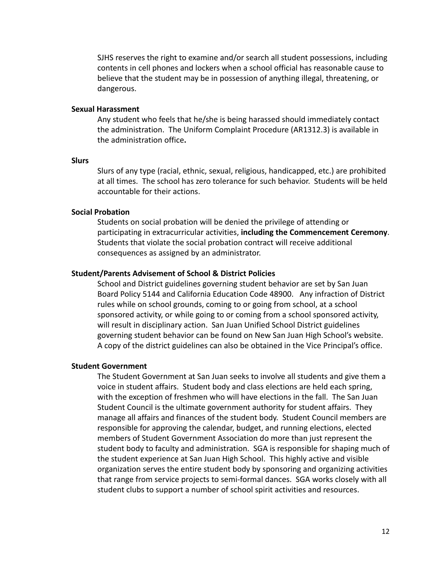SJHS reserves the right to examine and/or search all student possessions, including contents in cell phones and lockers when a school official has reasonable cause to believe that the student may be in possession of anything illegal, threatening, or dangerous.

#### **Sexual Harassment**

Any student who feels that he/she is being harassed should immediately contact the administration. The Uniform Complaint Procedure (AR1312.3) is available in the administration office**.**

#### **Slurs**

Slurs of any type (racial, ethnic, sexual, religious, handicapped, etc.) are prohibited at all times. The school has zero tolerance for such behavior. Students will be held accountable for their actions.

#### **Social Probation**

Students on social probation will be denied the privilege of attending or participating in extracurricular activities, **including the Commencement Ceremony**. Students that violate the social probation contract will receive additional consequences as assigned by an administrator.

#### **Student/Parents Advisement of School & District Policies**

School and District guidelines governing student behavior are set by San Juan Board Policy 5144 and California Education Code 48900. Any infraction of District rules while on school grounds, coming to or going from school, at a school sponsored activity, or while going to or coming from a school sponsored activity, will result in disciplinary action. San Juan Unified School District guidelines governing student behavior can be found on New San Juan High School's website. A copy of the district guidelines can also be obtained in the Vice Principal's office.

#### **Student Government**

The Student Government at San Juan seeks to involve all students and give them a voice in student affairs. Student body and class elections are held each spring, with the exception of freshmen who will have elections in the fall. The San Juan Student Council is the ultimate government authority for student affairs. They manage all affairs and finances of the student body. Student Council members are responsible for approving the calendar, budget, and running elections, elected members of Student Government Association do more than just represent the student body to faculty and administration. SGA is responsible for shaping much of the student experience at San Juan High School. This highly active and visible organization serves the entire student body by sponsoring and organizing activities that range from service projects to semi-formal dances. SGA works closely with all student clubs to support a number of school spirit activities and resources.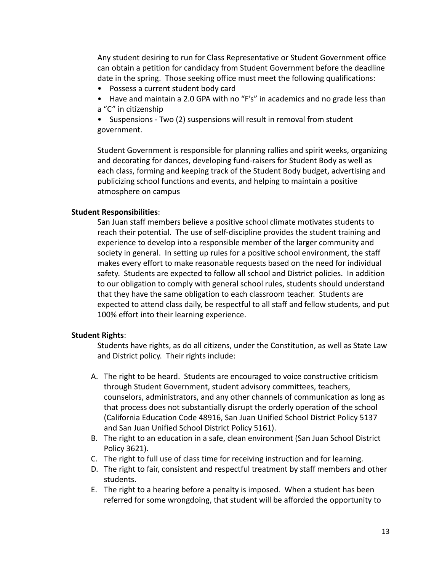Any student desiring to run for Class Representative or Student Government office can obtain a petition for candidacy from Student Government before the deadline date in the spring. Those seeking office must meet the following qualifications:

- Possess a current student body card
- Have and maintain a 2.0 GPA with no "F's" in academics and no grade less than a "C" in citizenship

• Suspensions - Two (2) suspensions will result in removal from student government.

Student Government is responsible for planning rallies and spirit weeks, organizing and decorating for dances, developing fund-raisers for Student Body as well as each class, forming and keeping track of the Student Body budget, advertising and publicizing school functions and events, and helping to maintain a positive atmosphere on campus

## **Student Responsibilities**:

San Juan staff members believe a positive school climate motivates students to reach their potential. The use of self-discipline provides the student training and experience to develop into a responsible member of the larger community and society in general. In setting up rules for a positive school environment, the staff makes every effort to make reasonable requests based on the need for individual safety. Students are expected to follow all school and District policies. In addition to our obligation to comply with general school rules, students should understand that they have the same obligation to each classroom teacher. Students are expected to attend class daily, be respectful to all staff and fellow students, and put 100% effort into their learning experience.

### **Student Rights**:

Students have rights, as do all citizens, under the Constitution, as well as State Law and District policy. Their rights include:

- A. The right to be heard. Students are encouraged to voice constructive criticism through Student Government, student advisory committees, teachers, counselors, administrators, and any other channels of communication as long as that process does not substantially disrupt the orderly operation of the school (California Education Code 48916, San Juan Unified School District Policy 5137 and San Juan Unified School District Policy 5161).
- B. The right to an education in a safe, clean environment (San Juan School District Policy 3621).
- C. The right to full use of class time for receiving instruction and for learning.
- D. The right to fair, consistent and respectful treatment by staff members and other students.
- E. The right to a hearing before a penalty is imposed. When a student has been referred for some wrongdoing, that student will be afforded the opportunity to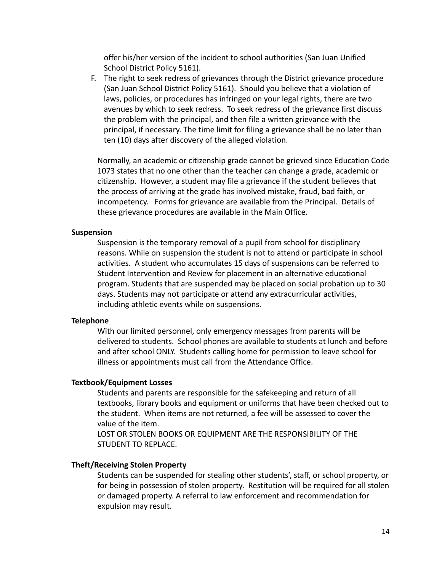offer his/her version of the incident to school authorities (San Juan Unified School District Policy 5161).

F. The right to seek redress of grievances through the District grievance procedure (San Juan School District Policy 5161). Should you believe that a violation of laws, policies, or procedures has infringed on your legal rights, there are two avenues by which to seek redress. To seek redress of the grievance first discuss the problem with the principal, and then file a written grievance with the principal, if necessary. The time limit for filing a grievance shall be no later than ten (10) days after discovery of the alleged violation.

Normally, an academic or citizenship grade cannot be grieved since Education Code 1073 states that no one other than the teacher can change a grade, academic or citizenship. However, a student may file a grievance if the student believes that the process of arriving at the grade has involved mistake, fraud, bad faith, or incompetency. Forms for grievance are available from the Principal. Details of these grievance procedures are available in the Main Office.

### **Suspension**

Suspension is the temporary removal of a pupil from school for disciplinary reasons. While on suspension the student is not to attend or participate in school activities. A student who accumulates 15 days of suspensions can be referred to Student Intervention and Review for placement in an alternative educational program. Students that are suspended may be placed on social probation up to 30 days. Students may not participate or attend any extracurricular activities, including athletic events while on suspensions.

# **Telephone**

With our limited personnel, only emergency messages from parents will be delivered to students. School phones are available to students at lunch and before and after school ONLY. Students calling home for permission to leave school for illness or appointments must call from the Attendance Office.

# **Textbook/Equipment Losses**

Students and parents are responsible for the safekeeping and return of all textbooks, library books and equipment or uniforms that have been checked out to the student. When items are not returned, a fee will be assessed to cover the value of the item.

LOST OR STOLEN BOOKS OR EQUIPMENT ARE THE RESPONSIBILITY OF THE STUDENT TO REPLACE.

# **Theft/Receiving Stolen Property**

Students can be suspended for stealing other students', staff, or school property, or for being in possession of stolen property. Restitution will be required for all stolen or damaged property. A referral to law enforcement and recommendation for expulsion may result.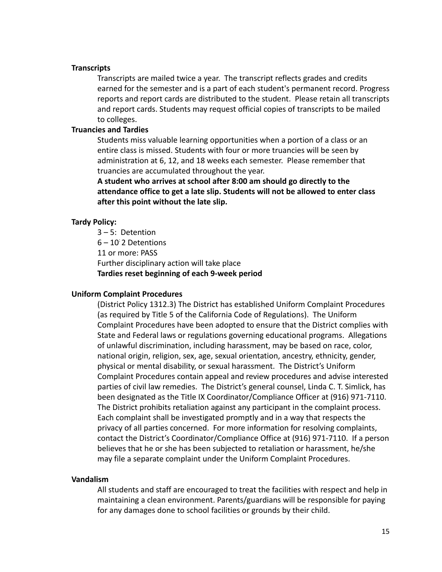## **Transcripts**

Transcripts are mailed twice a year. The transcript reflects grades and credits earned for the semester and is a part of each student's permanent record. Progress reports and report cards are distributed to the student. Please retain all transcripts and report cards. Students may request official copies of transcripts to be mailed to colleges.

### **Truancies and Tardies**

Students miss valuable learning opportunities when a portion of a class or an entire class is missed. Students with four or more truancies will be seen by administration at 6, 12, and 18 weeks each semester. Please remember that truancies are accumulated throughout the year.

**A student who arrives at school after 8:00 am should go directly to the attendance office to get a late slip. Students will not be allowed to enter class after this point without the late slip.**

### **Tardy Policy:**

3 – 5: Detention 6 – 10: 2 Detentions 11 or more: PASS Further disciplinary action will take place **Tardies reset beginning of each 9-week period**

### **Uniform Complaint Procedures**

(District Policy 1312.3) The District has established Uniform Complaint Procedures (as required by Title 5 of the California Code of Regulations). The Uniform Complaint Procedures have been adopted to ensure that the District complies with State and Federal laws or regulations governing educational programs. Allegations of unlawful discrimination, including harassment, may be based on race, color, national origin, religion, sex, age, sexual orientation, ancestry, ethnicity, gender, physical or mental disability, or sexual harassment. The District's Uniform Complaint Procedures contain appeal and review procedures and advise interested parties of civil law remedies. The District's general counsel, Linda C. T. Simlick, has been designated as the Title IX Coordinator/Compliance Officer at (916) 971-7110. The District prohibits retaliation against any participant in the complaint process. Each complaint shall be investigated promptly and in a way that respects the privacy of all parties concerned. For more information for resolving complaints, contact the District's Coordinator/Compliance Office at (916) 971-7110. If a person believes that he or she has been subjected to retaliation or harassment, he/she may file a separate complaint under the Uniform Complaint Procedures.

#### **Vandalism**

All students and staff are encouraged to treat the facilities with respect and help in maintaining a clean environment. Parents/guardians will be responsible for paying for any damages done to school facilities or grounds by their child.